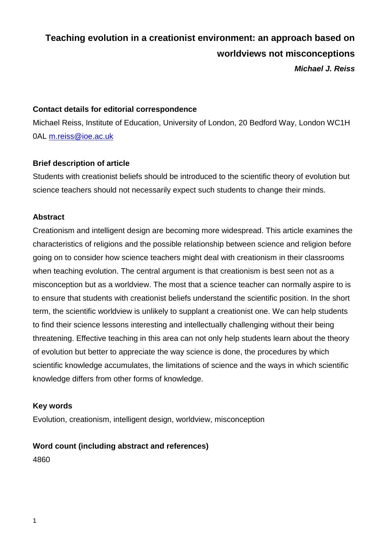# **Teaching evolution in a creationist environment: an approach based on worldviews not misconceptions**

*Michael J. Reiss*

# **Contact details for editorial correspondence**

Michael Reiss, Institute of Education, University of London, 20 Bedford Way, London WC1H 0AL [m.reiss@ioe.ac.uk](mailto:m.reiss@ioe.ac.uk)

# **Brief description of article**

Students with creationist beliefs should be introduced to the scientific theory of evolution but science teachers should not necessarily expect such students to change their minds.

# **Abstract**

Creationism and intelligent design are becoming more widespread. This article examines the characteristics of religions and the possible relationship between science and religion before going on to consider how science teachers might deal with creationism in their classrooms when teaching evolution. The central argument is that creationism is best seen not as a misconception but as a worldview. The most that a science teacher can normally aspire to is to ensure that students with creationist beliefs understand the scientific position. In the short term, the scientific worldview is unlikely to supplant a creationist one. We can help students to find their science lessons interesting and intellectually challenging without their being threatening. Effective teaching in this area can not only help students learn about the theory of evolution but better to appreciate the way science is done, the procedures by which scientific knowledge accumulates, the limitations of science and the ways in which scientific knowledge differs from other forms of knowledge.

## **Key words**

Evolution, creationism, intelligent design, worldview, misconception

# **Word count (including abstract and references)**

4860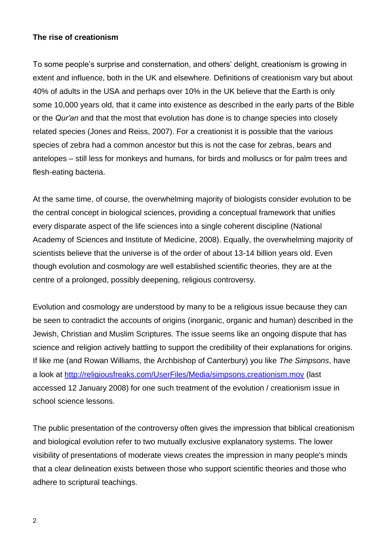# **The rise of creationism**

To some people"s surprise and consternation, and others" delight, creationism is growing in extent and influence, both in the UK and elsewhere. Definitions of creationism vary but about 40% of adults in the USA and perhaps over 10% in the UK believe that the Earth is only some 10,000 years old, that it came into existence as described in the early parts of the Bible or the *Qur'an* and that the most that evolution has done is to change species into closely related species (Jones and Reiss, 2007). For a creationist it is possible that the various species of zebra had a common ancestor but this is not the case for zebras, bears and antelopes – still less for monkeys and humans, for birds and molluscs or for palm trees and flesh-eating bacteria.

At the same time, of course, the overwhelming majority of biologists consider evolution to be the central concept in biological sciences, providing a conceptual framework that unifies every disparate aspect of the life sciences into a single coherent discipline (National Academy of Sciences and Institute of Medicine, 2008). Equally, the overwhelming majority of scientists believe that the universe is of the order of about 13-14 billion years old. Even though evolution and cosmology are well established scientific theories, they are at the centre of a prolonged, possibly deepening, religious controversy.

Evolution and cosmology are understood by many to be a religious issue because they can be seen to contradict the accounts of origins (inorganic, organic and human) described in the Jewish, Christian and Muslim Scriptures. The issue seems like an ongoing dispute that has science and religion actively battling to support the credibility of their explanations for origins. If like me (and Rowan Williams, the Archbishop of Canterbury) you like *The Simpsons*, have a look at<http://religiousfreaks.com/UserFiles/Media/simpsons.creationism.mov> (last accessed 12 January 2008) for one such treatment of the evolution / creationism issue in school science lessons.

The public presentation of the controversy often gives the impression that biblical creationism and biological evolution refer to two mutually exclusive explanatory systems. The lower visibility of presentations of moderate views creates the impression in many people's minds that a clear delineation exists between those who support scientific theories and those who adhere to scriptural teachings.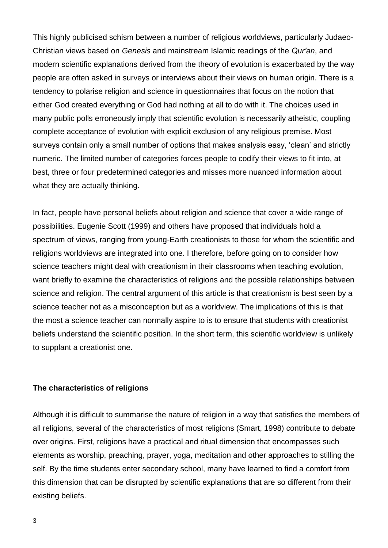This highly publicised schism between a number of religious worldviews, particularly Judaeo-Christian views based on *Genesis* and mainstream Islamic readings of the *Qur'an*, and modern scientific explanations derived from the theory of evolution is exacerbated by the way people are often asked in surveys or interviews about their views on human origin. There is a tendency to polarise religion and science in questionnaires that focus on the notion that either God created everything or God had nothing at all to do with it. The choices used in many public polls erroneously imply that scientific evolution is necessarily atheistic, coupling complete acceptance of evolution with explicit exclusion of any religious premise. Most surveys contain only a small number of options that makes analysis easy, "clean" and strictly numeric. The limited number of categories forces people to codify their views to fit into, at best, three or four predetermined categories and misses more nuanced information about what they are actually thinking.

In fact, people have personal beliefs about religion and science that cover a wide range of possibilities. Eugenie Scott (1999) and others have proposed that individuals hold a spectrum of views, ranging from young-Earth creationists to those for whom the scientific and religions worldviews are integrated into one. I therefore, before going on to consider how science teachers might deal with creationism in their classrooms when teaching evolution, want briefly to examine the characteristics of religions and the possible relationships between science and religion. The central argument of this article is that creationism is best seen by a science teacher not as a misconception but as a worldview. The implications of this is that the most a science teacher can normally aspire to is to ensure that students with creationist beliefs understand the scientific position. In the short term, this scientific worldview is unlikely to supplant a creationist one.

#### **The characteristics of religions**

Although it is difficult to summarise the nature of religion in a way that satisfies the members of all religions, several of the characteristics of most religions (Smart, 1998) contribute to debate over origins. First, religions have a practical and ritual dimension that encompasses such elements as worship, preaching, prayer, yoga, meditation and other approaches to stilling the self. By the time students enter secondary school, many have learned to find a comfort from this dimension that can be disrupted by scientific explanations that are so different from their existing beliefs.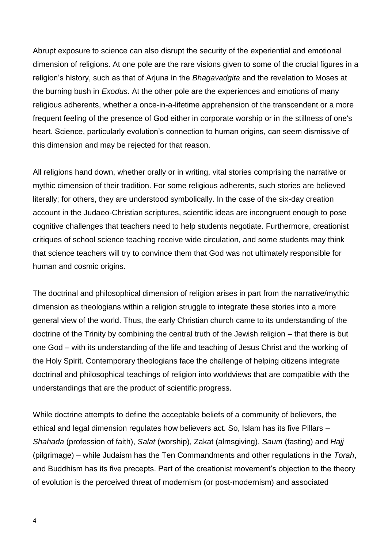Abrupt exposure to science can also disrupt the security of the experiential and emotional dimension of religions. At one pole are the rare visions given to some of the crucial figures in a religion"s history, such as that of Arjuna in the *Bhagavadgita* and the revelation to Moses at the burning bush in *Exodus*. At the other pole are the experiences and emotions of many religious adherents, whether a once-in-a-lifetime apprehension of the transcendent or a more frequent feeling of the presence of God either in corporate worship or in the stillness of one's heart. Science, particularly evolution's connection to human origins, can seem dismissive of this dimension and may be rejected for that reason.

All religions hand down, whether orally or in writing, vital stories comprising the narrative or mythic dimension of their tradition. For some religious adherents, such stories are believed literally; for others, they are understood symbolically. In the case of the six-day creation account in the Judaeo-Christian scriptures, scientific ideas are incongruent enough to pose cognitive challenges that teachers need to help students negotiate. Furthermore, creationist critiques of school science teaching receive wide circulation, and some students may think that science teachers will try to convince them that God was not ultimately responsible for human and cosmic origins.

The doctrinal and philosophical dimension of religion arises in part from the narrative/mythic dimension as theologians within a religion struggle to integrate these stories into a more general view of the world. Thus, the early Christian church came to its understanding of the doctrine of the Trinity by combining the central truth of the Jewish religion – that there is but one God – with its understanding of the life and teaching of Jesus Christ and the working of the Holy Spirit. Contemporary theologians face the challenge of helping citizens integrate doctrinal and philosophical teachings of religion into worldviews that are compatible with the understandings that are the product of scientific progress.

While doctrine attempts to define the acceptable beliefs of a community of believers, the ethical and legal dimension regulates how believers act. So, Islam has its five Pillars – *Shahada* (profession of faith), *Salat* (worship), Zakat (almsgiving), *Saum* (fasting) and *Hajj* (pilgrimage) – while Judaism has the Ten Commandments and other regulations in the *Torah*, and Buddhism has its five precepts. Part of the creationist movement's objection to the theory of evolution is the perceived threat of modernism (or post-modernism) and associated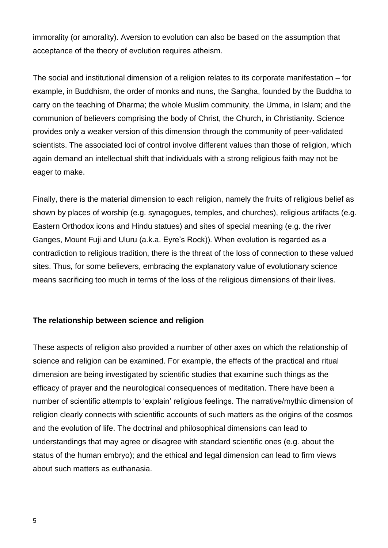immorality (or amorality). Aversion to evolution can also be based on the assumption that acceptance of the theory of evolution requires atheism.

The social and institutional dimension of a religion relates to its corporate manifestation – for example, in Buddhism, the order of monks and nuns, the Sangha, founded by the Buddha to carry on the teaching of Dharma; the whole Muslim community, the Umma, in Islam; and the communion of believers comprising the body of Christ, the Church, in Christianity. Science provides only a weaker version of this dimension through the community of peer-validated scientists. The associated loci of control involve different values than those of religion, which again demand an intellectual shift that individuals with a strong religious faith may not be eager to make.

Finally, there is the material dimension to each religion, namely the fruits of religious belief as shown by places of worship (e.g. synagogues, temples, and churches), religious artifacts (e.g. Eastern Orthodox icons and Hindu statues) and sites of special meaning (e.g. the river Ganges, Mount Fuji and Uluru (a.k.a. Eyre"s Rock)). When evolution is regarded as a contradiction to religious tradition, there is the threat of the loss of connection to these valued sites. Thus, for some believers, embracing the explanatory value of evolutionary science means sacrificing too much in terms of the loss of the religious dimensions of their lives.

#### **The relationship between science and religion**

These aspects of religion also provided a number of other axes on which the relationship of science and religion can be examined. For example, the effects of the practical and ritual dimension are being investigated by scientific studies that examine such things as the efficacy of prayer and the neurological consequences of meditation. There have been a number of scientific attempts to "explain" religious feelings. The narrative/mythic dimension of religion clearly connects with scientific accounts of such matters as the origins of the cosmos and the evolution of life. The doctrinal and philosophical dimensions can lead to understandings that may agree or disagree with standard scientific ones (e.g. about the status of the human embryo); and the ethical and legal dimension can lead to firm views about such matters as euthanasia.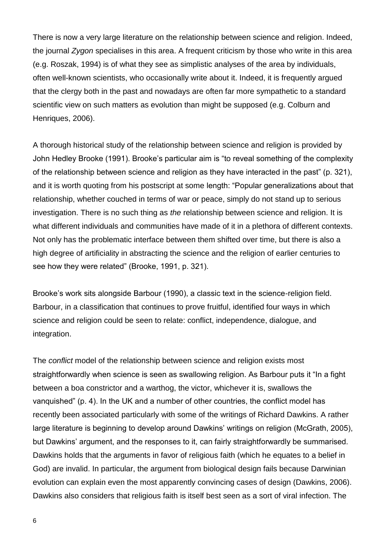There is now a very large literature on the relationship between science and religion. Indeed, the journal *Zygon* specialises in this area. A frequent criticism by those who write in this area (e.g. Roszak, 1994) is of what they see as simplistic analyses of the area by individuals, often well-known scientists, who occasionally write about it. Indeed, it is frequently argued that the clergy both in the past and nowadays are often far more sympathetic to a standard scientific view on such matters as evolution than might be supposed (e.g. Colburn and Henriques, 2006).

A thorough historical study of the relationship between science and religion is provided by John Hedley Brooke (1991). Brooke"s particular aim is "to reveal something of the complexity of the relationship between science and religion as they have interacted in the past" (p. 321), and it is worth quoting from his postscript at some length: "Popular generalizations about that relationship, whether couched in terms of war or peace, simply do not stand up to serious investigation. There is no such thing as *the* relationship between science and religion. It is what different individuals and communities have made of it in a plethora of different contexts. Not only has the problematic interface between them shifted over time, but there is also a high degree of artificiality in abstracting the science and the religion of earlier centuries to see how they were related" (Brooke, 1991, p. 321).

Brooke"s work sits alongside Barbour (1990), a classic text in the science-religion field. Barbour, in a classification that continues to prove fruitful, identified four ways in which science and religion could be seen to relate: conflict, independence, dialogue, and integration.

The *conflict* model of the relationship between science and religion exists most straightforwardly when science is seen as swallowing religion. As Barbour puts it "In a fight between a boa constrictor and a warthog, the victor, whichever it is, swallows the vanquished" (p. 4). In the UK and a number of other countries, the conflict model has recently been associated particularly with some of the writings of Richard Dawkins. A rather large literature is beginning to develop around Dawkins' writings on religion (McGrath, 2005), but Dawkins" argument, and the responses to it, can fairly straightforwardly be summarised. Dawkins holds that the arguments in favor of religious faith (which he equates to a belief in God) are invalid. In particular, the argument from biological design fails because Darwinian evolution can explain even the most apparently convincing cases of design (Dawkins, 2006). Dawkins also considers that religious faith is itself best seen as a sort of viral infection. The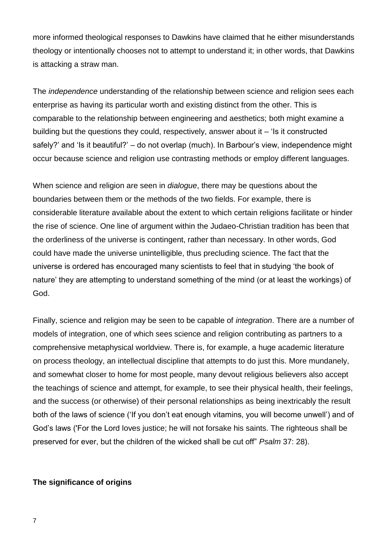more informed theological responses to Dawkins have claimed that he either misunderstands theology or intentionally chooses not to attempt to understand it; in other words, that Dawkins is attacking a straw man.

The *independence* understanding of the relationship between science and religion sees each enterprise as having its particular worth and existing distinct from the other. This is comparable to the relationship between engineering and aesthetics; both might examine a building but the questions they could, respectively, answer about it  $-$  'Is it constructed safely?' and 'Is it beautiful?' – do not overlap (much). In Barbour's view, independence might occur because science and religion use contrasting methods or employ different languages.

When science and religion are seen in *dialogue*, there may be questions about the boundaries between them or the methods of the two fields. For example, there is considerable literature available about the extent to which certain religions facilitate or hinder the rise of science. One line of argument within the Judaeo-Christian tradition has been that the orderliness of the universe is contingent, rather than necessary. In other words, God could have made the universe unintelligible, thus precluding science. The fact that the universe is ordered has encouraged many scientists to feel that in studying "the book of nature' they are attempting to understand something of the mind (or at least the workings) of God.

Finally, science and religion may be seen to be capable of *integration*. There are a number of models of integration, one of which sees science and religion contributing as partners to a comprehensive metaphysical worldview. There is, for example, a huge academic literature on process theology, an intellectual discipline that attempts to do just this. More mundanely, and somewhat closer to home for most people, many devout religious believers also accept the teachings of science and attempt, for example, to see their physical health, their feelings, and the success (or otherwise) of their personal relationships as being inextricably the result both of the laws of science ('If you don't eat enough vitamins, you will become unwell') and of God"s laws ('For the Lord loves justice; he will not forsake his saints. The righteous shall be preserved for ever, but the children of the wicked shall be cut off" *Psalm* 37: 28).

## **The significance of origins**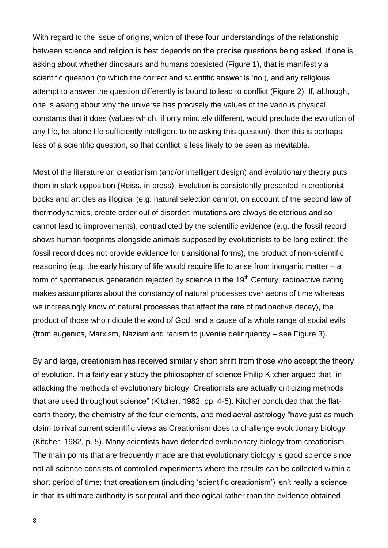With regard to the issue of origins, which of these four understandings of the relationship between science and religion is best depends on the precise questions being asked. If one is asking about whether dinosaurs and humans coexisted (Figure 1), that is manifestly a scientific question (to which the correct and scientific answer is 'no'), and any religious attempt to answer the question differently is bound to lead to conflict (Figure 2). If, although, one is asking about why the universe has precisely the values of the various physical constants that it does (values which, if only minutely different, would preclude the evolution of any life, let alone life sufficiently intelligent to be asking this question), then this is perhaps less of a scientific question, so that conflict is less likely to be seen as inevitable.

Most of the literature on creationism (and/or intelligent design) and evolutionary theory puts them in stark opposition (Reiss, in press). Evolution is consistently presented in creationist books and articles as illogical (e.g. natural selection cannot, on account of the second law of thermodynamics, create order out of disorder; mutations are always deleterious and so cannot lead to improvements), contradicted by the scientific evidence (e.g. the fossil record shows human footprints alongside animals supposed by evolutionists to be long extinct; the fossil record does not provide evidence for transitional forms), the product of non-scientific reasoning (e.g. the early history of life would require life to arise from inorganic matter – a form of spontaneous generation rejected by science in the  $19<sup>th</sup>$  Century; radioactive dating makes assumptions about the constancy of natural processes over aeons of time whereas we increasingly know of natural processes that affect the rate of radioactive decay), the product of those who ridicule the word of God, and a cause of a whole range of social evils (from eugenics, Marxism, Nazism and racism to juvenile delinquency – see Figure 3).

By and large, creationism has received similarly short shrift from those who accept the theory of evolution. In a fairly early study the philosopher of science Philip Kitcher argued that "in attacking the methods of evolutionary biology, Creationists are actually criticizing methods that are used throughout science" (Kitcher, 1982, pp. 4-5). Kitcher concluded that the flatearth theory, the chemistry of the four elements, and mediaeval astrology "have just as much claim to rival current scientific views as Creationism does to challenge evolutionary biology" (Kitcher, 1982, p. 5). Many scientists have defended evolutionary biology from creationism. The main points that are frequently made are that evolutionary biology is good science since not all science consists of controlled experiments where the results can be collected within a short period of time; that creationism (including "scientific creationism") isn"t really a science in that its ultimate authority is scriptural and theological rather than the evidence obtained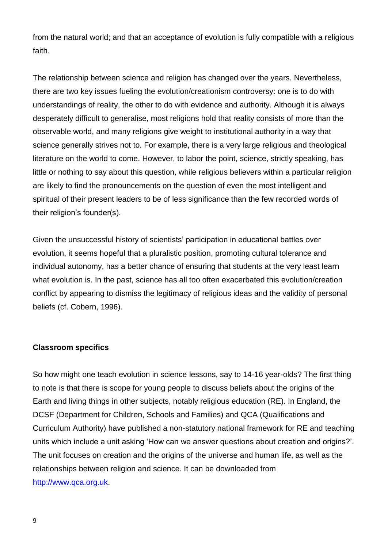from the natural world; and that an acceptance of evolution is fully compatible with a religious faith.

The relationship between science and religion has changed over the years. Nevertheless, there are two key issues fueling the evolution/creationism controversy: one is to do with understandings of reality, the other to do with evidence and authority. Although it is always desperately difficult to generalise, most religions hold that reality consists of more than the observable world, and many religions give weight to institutional authority in a way that science generally strives not to. For example, there is a very large religious and theological literature on the world to come. However, to labor the point, science, strictly speaking, has little or nothing to say about this question, while religious believers within a particular religion are likely to find the pronouncements on the question of even the most intelligent and spiritual of their present leaders to be of less significance than the few recorded words of their religion's founder(s).

Given the unsuccessful history of scientists" participation in educational battles over evolution, it seems hopeful that a pluralistic position, promoting cultural tolerance and individual autonomy, has a better chance of ensuring that students at the very least learn what evolution is. In the past, science has all too often exacerbated this evolution/creation conflict by appearing to dismiss the legitimacy of religious ideas and the validity of personal beliefs (cf. Cobern, 1996).

## **Classroom specifics**

So how might one teach evolution in science lessons, say to 14-16 year-olds? The first thing to note is that there is scope for young people to discuss beliefs about the origins of the Earth and living things in other subjects, notably religious education (RE). In England, the DCSF (Department for Children, Schools and Families) and QCA (Qualifications and Curriculum Authority) have published a non-statutory national framework for RE and teaching units which include a unit asking "How can we answer questions about creation and origins?". The unit focuses on creation and the origins of the universe and human life, as well as the relationships between religion and science. It can be downloaded from [http://www.qca.org.uk.](http://www.qca.org.uk/)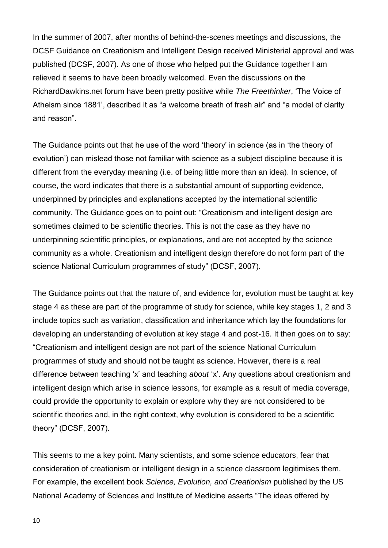In the summer of 2007, after months of behind-the-scenes meetings and discussions, the DCSF Guidance on Creationism and Intelligent Design received Ministerial approval and was published (DCSF, 2007). As one of those who helped put the Guidance together I am relieved it seems to have been broadly welcomed. Even the discussions on the RichardDawkins.net forum have been pretty positive while *The Freethinker*, "The Voice of Atheism since 1881", described it as "a welcome breath of fresh air" and "a model of clarity and reason".

The Guidance points out that he use of the word "theory" in science (as in "the theory of evolution") can mislead those not familiar with science as a subject discipline because it is different from the everyday meaning (i.e. of being little more than an idea). In science, of course, the word indicates that there is a substantial amount of supporting evidence, underpinned by principles and explanations accepted by the international scientific community. The Guidance goes on to point out: "Creationism and intelligent design are sometimes claimed to be scientific theories. This is not the case as they have no underpinning scientific principles, or explanations, and are not accepted by the science community as a whole. Creationism and intelligent design therefore do not form part of the science National Curriculum programmes of study" (DCSF, 2007).

The Guidance points out that the nature of, and evidence for, evolution must be taught at key stage 4 as these are part of the programme of study for science, while key stages 1, 2 and 3 include topics such as variation, classification and inheritance which lay the foundations for developing an understanding of evolution at key stage 4 and post-16. It then goes on to say: "Creationism and intelligent design are not part of the science National Curriculum programmes of study and should not be taught as science. However, there is a real difference between teaching 'x' and teaching *about* 'x'. Any questions about creationism and intelligent design which arise in science lessons, for example as a result of media coverage, could provide the opportunity to explain or explore why they are not considered to be scientific theories and, in the right context, why evolution is considered to be a scientific theory" (DCSF, 2007).

This seems to me a key point. Many scientists, and some science educators, fear that consideration of creationism or intelligent design in a science classroom legitimises them. For example, the excellent book *Science, Evolution, and Creationism* published by the US National Academy of Sciences and Institute of Medicine asserts "The ideas offered by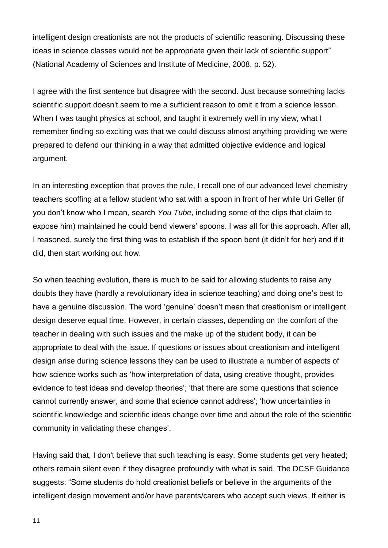intelligent design creationists are not the products of scientific reasoning. Discussing these ideas in science classes would not be appropriate given their lack of scientific support" (National Academy of Sciences and Institute of Medicine, 2008, p. 52).

I agree with the first sentence but disagree with the second. Just because something lacks scientific support doesn't seem to me a sufficient reason to omit it from a science lesson. When I was taught physics at school, and taught it extremely well in my view, what I remember finding so exciting was that we could discuss almost anything providing we were prepared to defend our thinking in a way that admitted objective evidence and logical argument.

In an interesting exception that proves the rule, I recall one of our advanced level chemistry teachers scoffing at a fellow student who sat with a spoon in front of her while Uri Geller (if you don"t know who I mean, search *You Tube*, including some of the clips that claim to expose him) maintained he could bend viewers' spoons. I was all for this approach. After all, I reasoned, surely the first thing was to establish if the spoon bent (it didn"t for her) and if it did, then start working out how.

So when teaching evolution, there is much to be said for allowing students to raise any doubts they have (hardly a revolutionary idea in science teaching) and doing one"s best to have a genuine discussion. The word 'genuine' doesn't mean that creationism or intelligent design deserve equal time. However, in certain classes, depending on the comfort of the teacher in dealing with such issues and the make up of the student body, it can be appropriate to deal with the issue. If questions or issues about creationism and intelligent design arise during science lessons they can be used to illustrate a number of aspects of how science works such as "how interpretation of data, using creative thought, provides evidence to test ideas and develop theories'; 'that there are some questions that science cannot currently answer, and some that science cannot address"; "how uncertainties in scientific knowledge and scientific ideas change over time and about the role of the scientific community in validating these changes".

Having said that, I don't believe that such teaching is easy. Some students get very heated; others remain silent even if they disagree profoundly with what is said. The DCSF Guidance suggests: "Some students do hold creationist beliefs or believe in the arguments of the intelligent design movement and/or have parents/carers who accept such views. If either is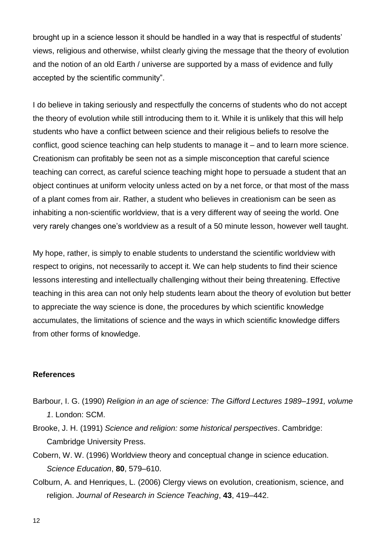brought up in a science lesson it should be handled in a way that is respectful of students" views, religious and otherwise, whilst clearly giving the message that the theory of evolution and the notion of an old Earth / universe are supported by a mass of evidence and fully accepted by the scientific community".

I do believe in taking seriously and respectfully the concerns of students who do not accept the theory of evolution while still introducing them to it. While it is unlikely that this will help students who have a conflict between science and their religious beliefs to resolve the conflict, good science teaching can help students to manage it – and to learn more science. Creationism can profitably be seen not as a simple misconception that careful science teaching can correct, as careful science teaching might hope to persuade a student that an object continues at uniform velocity unless acted on by a net force, or that most of the mass of a plant comes from air. Rather, a student who believes in creationism can be seen as inhabiting a non-scientific worldview, that is a very different way of seeing the world. One very rarely changes one"s worldview as a result of a 50 minute lesson, however well taught.

My hope, rather, is simply to enable students to understand the scientific worldview with respect to origins, not necessarily to accept it. We can help students to find their science lessons interesting and intellectually challenging without their being threatening. Effective teaching in this area can not only help students learn about the theory of evolution but better to appreciate the way science is done, the procedures by which scientific knowledge accumulates, the limitations of science and the ways in which scientific knowledge differs from other forms of knowledge.

## **References**

- Barbour, I. G. (1990) *Religion in an age of science: The Gifford Lectures 1989–1991, volume 1*. London: SCM.
- Brooke, J. H. (1991) *Science and religion: some historical perspectives*. Cambridge: Cambridge University Press.
- Cobern, W. W. (1996) Worldview theory and conceptual change in science education. *Science Education*, **80**, 579–610.
- Colburn, A. and Henriques, L. (2006) Clergy views on evolution, creationism, science, and religion. *Journal of Research in Science Teaching*, **43**, 419–442.